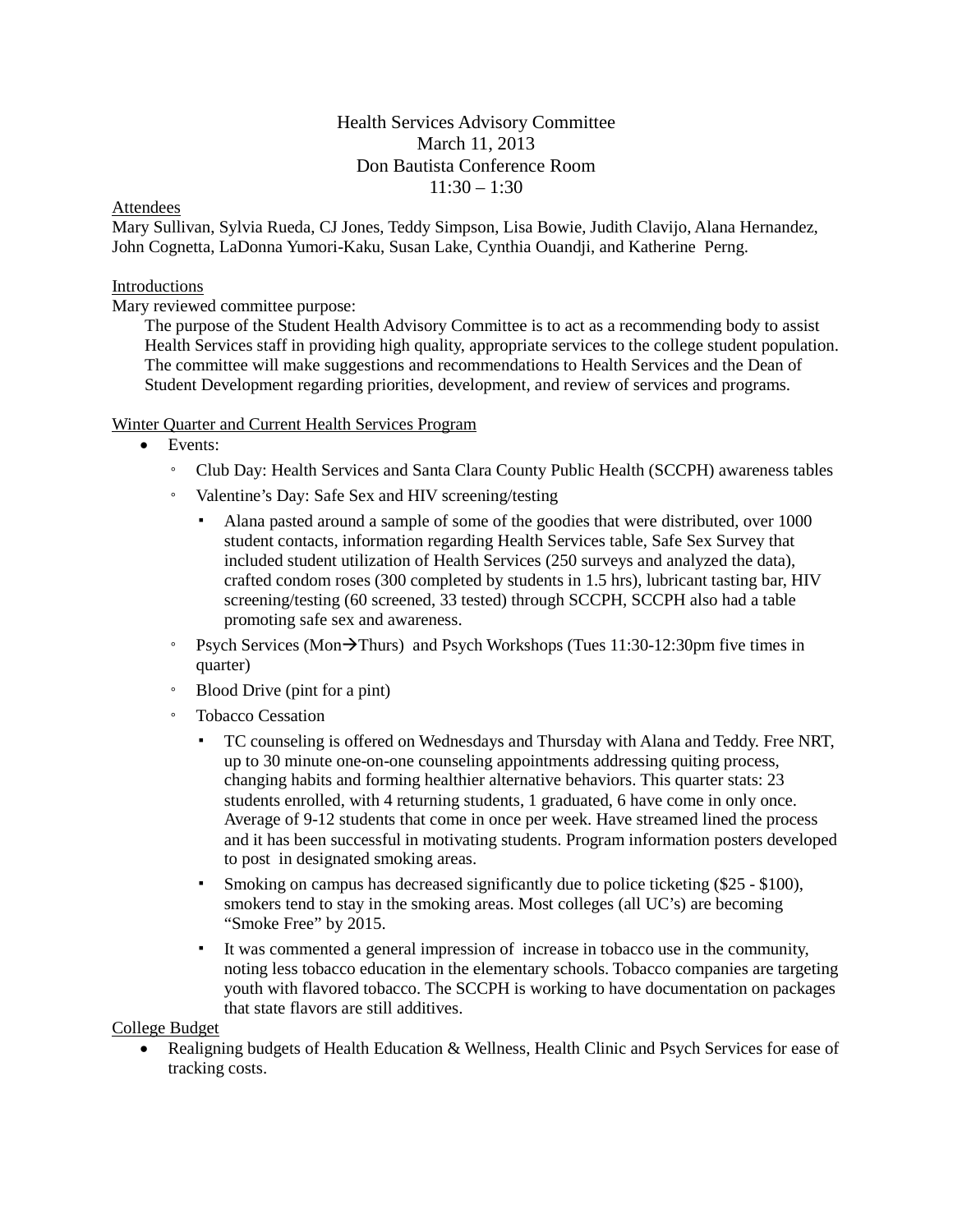# Health Services Advisory Committee March 11, 2013 Don Bautista Conference Room  $11:30 - 1:30$

### Attendees

Mary Sullivan, Sylvia Rueda, CJ Jones, Teddy Simpson, Lisa Bowie, Judith Clavijo, Alana Hernandez, John Cognetta, LaDonna Yumori-Kaku, Susan Lake, Cynthia Ouandji, and Katherine Perng.

### Introductions

Mary reviewed committee purpose:

The purpose of the Student Health Advisory Committee is to act as a recommending body to assist Health Services staff in providing high quality, appropriate services to the college student population. The committee will make suggestions and recommendations to Health Services and the Dean of Student Development regarding priorities, development, and review of services and programs.

### Winter Quarter and Current Health Services Program

- Events:
	- Club Day: Health Services and Santa Clara County Public Health (SCCPH) awareness tables
	- Valentine's Day: Safe Sex and HIV screening/testing
		- Alana pasted around a sample of some of the goodies that were distributed, over 1000 student contacts, information regarding Health Services table, Safe Sex Survey that included student utilization of Health Services (250 surveys and analyzed the data), crafted condom roses (300 completed by students in 1.5 hrs), lubricant tasting bar, HIV screening/testing (60 screened, 33 tested) through SCCPH, SCCPH also had a table promoting safe sex and awareness.
	- Psych Services (Mon $\rightarrow$ Thurs) and Psych Workshops (Tues 11:30-12:30pm five times in quarter)
	- Blood Drive (pint for a pint)
	- Tobacco Cessation
		- TC counseling is offered on Wednesdays and Thursday with Alana and Teddy. Free NRT, up to 30 minute one-on-one counseling appointments addressing quiting process, changing habits and forming healthier alternative behaviors. This quarter stats: 23 students enrolled, with 4 returning students, 1 graduated, 6 have come in only once. Average of 9-12 students that come in once per week. Have streamed lined the process and it has been successful in motivating students. Program information posters developed to post in designated smoking areas.
		- Smoking on campus has decreased significantly due to police ticketing (\$25 \$100), smokers tend to stay in the smoking areas. Most colleges (all UC's) are becoming "Smoke Free" by 2015.
		- It was commented a general impression of increase in tobacco use in the community, noting less tobacco education in the elementary schools. Tobacco companies are targeting youth with flavored tobacco. The SCCPH is working to have documentation on packages that state flavors are still additives.

College Budget

• Realigning budgets of Health Education & Wellness, Health Clinic and Psych Services for ease of tracking costs.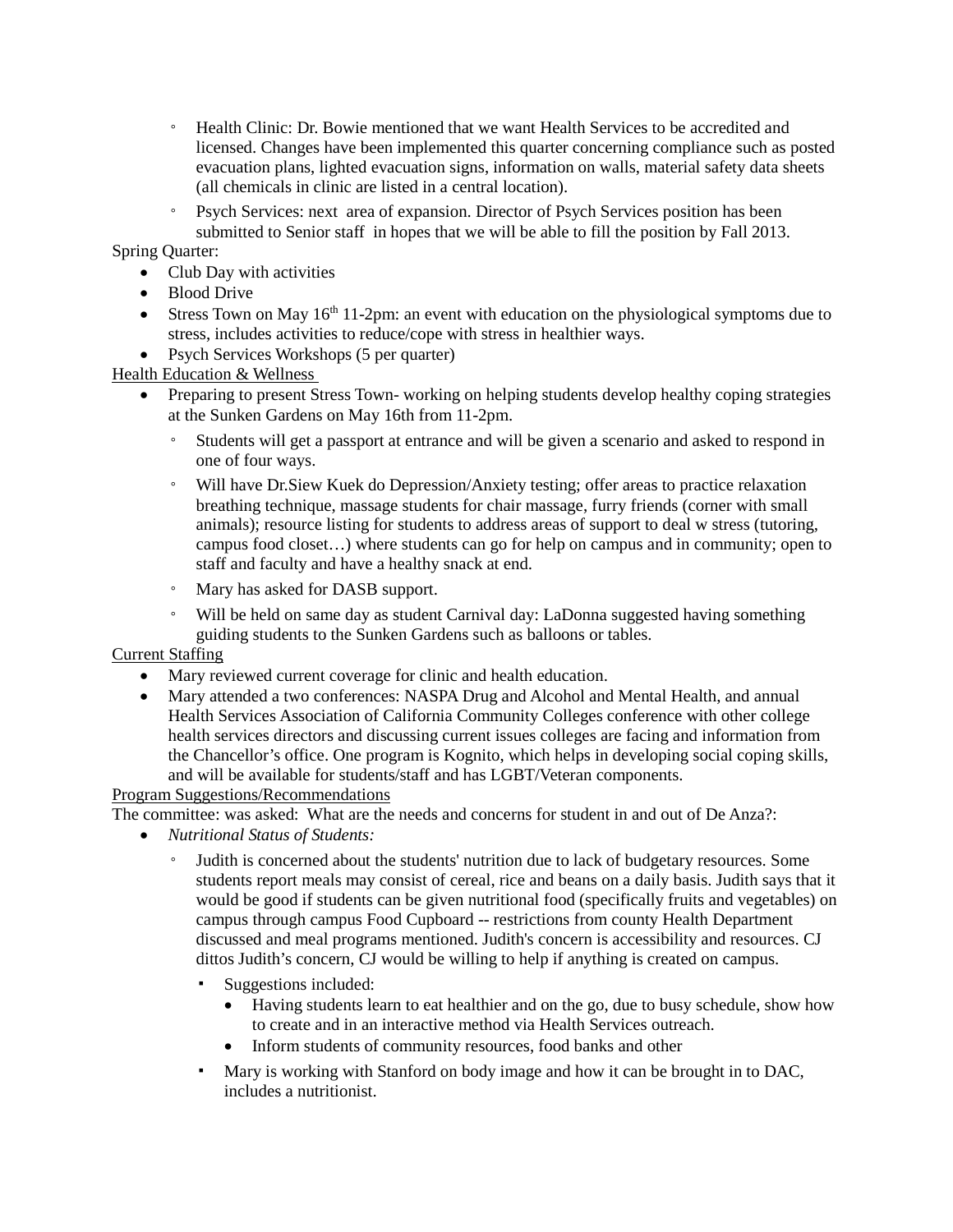- Health Clinic: Dr. Bowie mentioned that we want Health Services to be accredited and licensed. Changes have been implemented this quarter concerning compliance such as posted evacuation plans, lighted evacuation signs, information on walls, material safety data sheets (all chemicals in clinic are listed in a central location).
- Psych Services: next area of expansion. Director of Psych Services position has been submitted to Senior staff in hopes that we will be able to fill the position by Fall 2013.

## Spring Quarter:

- Club Day with activities
- Blood Drive
- Stress Town on May  $16<sup>th</sup> 11-2pm$ : an event with education on the physiological symptoms due to stress, includes activities to reduce/cope with stress in healthier ways.
- Psych Services Workshops (5 per quarter)

Health Education & Wellness

- Preparing to present Stress Town-working on helping students develop healthy coping strategies at the Sunken Gardens on May 16th from 11-2pm.
	- Students will get a passport at entrance and will be given a scenario and asked to respond in one of four ways.
	- Will have Dr.Siew Kuek do Depression/Anxiety testing; offer areas to practice relaxation breathing technique, massage students for chair massage, furry friends (corner with small animals); resource listing for students to address areas of support to deal w stress (tutoring, campus food closet…) where students can go for help on campus and in community; open to staff and faculty and have a healthy snack at end.
	- Mary has asked for DASB support.
	- Will be held on same day as student Carnival day: LaDonna suggested having something guiding students to the Sunken Gardens such as balloons or tables.

### Current Staffing

- Mary reviewed current coverage for clinic and health education.
- Mary attended a two conferences: NASPA Drug and Alcohol and Mental Health, and annual Health Services Association of California Community Colleges conference with other college health services directors and discussing current issues colleges are facing and information from the Chancellor's office. One program is Kognito, which helps in developing social coping skills, and will be available for students/staff and has LGBT/Veteran components.

### Program Suggestions/Recommendations

The committee: was asked: What are the needs and concerns for student in and out of De Anza?:

- *Nutritional Status of Students:*
	- Judith is concerned about the students' nutrition due to lack of budgetary resources. Some students report meals may consist of cereal, rice and beans on a daily basis. Judith says that it would be good if students can be given nutritional food (specifically fruits and vegetables) on campus through campus Food Cupboard -- restrictions from county Health Department discussed and meal programs mentioned. Judith's concern is accessibility and resources. CJ dittos Judith's concern, CJ would be willing to help if anything is created on campus.
		- Suggestions included:
			- Having students learn to eat healthier and on the go, due to busy schedule, show how to create and in an interactive method via Health Services outreach.
			- Inform students of community resources, food banks and other
		- Mary is working with Stanford on body image and how it can be brought in to DAC, includes a nutritionist.